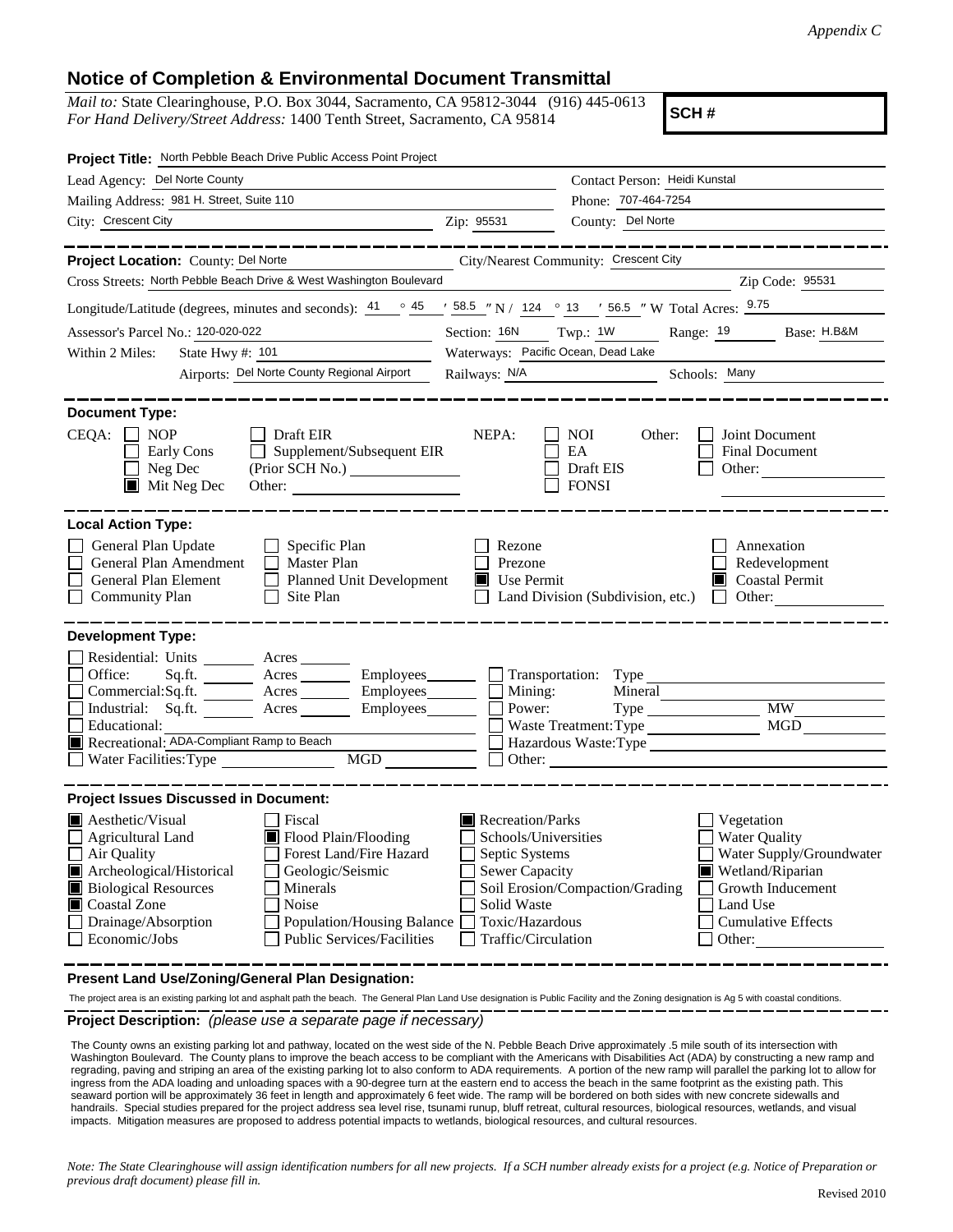## **Notice of Completion & Environmental Document Transmittal**

*Mail to:* State Clearinghouse, P.O. Box 3044, Sacramento, CA 95812-3044 (916) 445-0613 *For Hand Delivery/Street Address:* 1400 Tenth Street, Sacramento, CA 95814

**SCH #**

| Project Title: North Pebble Beach Drive Public Access Point Project                                                                                                                                                                                                                                                                                                    |                                                                                                                                                                                                                                                                                                                                               |                                                                                                                             |  |  |  |
|------------------------------------------------------------------------------------------------------------------------------------------------------------------------------------------------------------------------------------------------------------------------------------------------------------------------------------------------------------------------|-----------------------------------------------------------------------------------------------------------------------------------------------------------------------------------------------------------------------------------------------------------------------------------------------------------------------------------------------|-----------------------------------------------------------------------------------------------------------------------------|--|--|--|
| Lead Agency: Del Norte County                                                                                                                                                                                                                                                                                                                                          | Contact Person: Heidi Kunstal                                                                                                                                                                                                                                                                                                                 |                                                                                                                             |  |  |  |
| Mailing Address: 981 H. Street, Suite 110                                                                                                                                                                                                                                                                                                                              |                                                                                                                                                                                                                                                                                                                                               | Phone: 707-464-7254                                                                                                         |  |  |  |
| City: Crescent City<br><u> 1989 - Johann Stein, mars an deus an deus Amerikaansk kommunister (</u>                                                                                                                                                                                                                                                                     | Zip: 95531                                                                                                                                                                                                                                                                                                                                    | County: Del Norte                                                                                                           |  |  |  |
| Project Location: County: Del Norte<br>City/Nearest Community: Crescent City                                                                                                                                                                                                                                                                                           |                                                                                                                                                                                                                                                                                                                                               | ___________                                                                                                                 |  |  |  |
| Cross Streets: North Pebble Beach Drive & West Washington Boulevard                                                                                                                                                                                                                                                                                                    |                                                                                                                                                                                                                                                                                                                                               | Zip Code: 95531                                                                                                             |  |  |  |
| Longitude/Latitude (degrees, minutes and seconds): $\frac{41}{9}$ $\frac{45}{9}$ $\frac{158.5}{9}$ N / 124 ° 13 ' 56.5 " W Total Acres: $\frac{9.75}{9}$                                                                                                                                                                                                               |                                                                                                                                                                                                                                                                                                                                               |                                                                                                                             |  |  |  |
| Assessor's Parcel No.: 120-020-022                                                                                                                                                                                                                                                                                                                                     | Section: 16N Twp.: 1W<br>Range: 19<br>Base: H.B&M                                                                                                                                                                                                                                                                                             |                                                                                                                             |  |  |  |
| State Hwy $\#$ : 101<br>Within 2 Miles:                                                                                                                                                                                                                                                                                                                                | Waterways: Pacific Ocean, Dead Lake                                                                                                                                                                                                                                                                                                           |                                                                                                                             |  |  |  |
| Airports: Del Norte County Regional Airport                                                                                                                                                                                                                                                                                                                            | Railways: <u>N/A</u>                                                                                                                                                                                                                                                                                                                          | Schools: Many                                                                                                               |  |  |  |
| <b>Document Type:</b><br>$CEQA: \Box NOP$<br>Draft EIR<br>Supplement/Subsequent EIR<br>Early Cons<br>$\Box$ Neg Dec<br>$\blacksquare$ Mit Neg Dec<br>Other:                                                                                                                                                                                                            | NEPA:                                                                                                                                                                                                                                                                                                                                         | <b>NOI</b><br>Other:<br>Joint Document<br>EA<br>Final Document<br>Draft EIS<br>Other:<br><b>FONSI</b>                       |  |  |  |
| <b>Local Action Type:</b>                                                                                                                                                                                                                                                                                                                                              |                                                                                                                                                                                                                                                                                                                                               |                                                                                                                             |  |  |  |
| General Plan Update<br>$\Box$ Specific Plan<br>General Plan Amendment<br>$\Box$ Master Plan<br>General Plan Element<br>$\perp$<br>Planned Unit Development<br>Community Plan<br>Site Plan                                                                                                                                                                              | Rezone<br>Prezone<br>$\blacksquare$ Use Permit                                                                                                                                                                                                                                                                                                | Annexation<br>Redevelopment<br>$\blacksquare$ Coastal Permit<br>Land Division (Subdivision, etc.)<br>Other: $\qquad \qquad$ |  |  |  |
| <b>Development Type:</b><br>Residential: Units ________ Acres _______<br>Office:<br>Sq.ft.<br>Acres<br>Commercial:Sq.ft. Acres<br>Industrial: $Sq.fit.$ Acres<br>Educational:<br>Recreational: ADA-Compliant Ramp to Beach<br>MGD<br>Water Facilities: Type                                                                                                            | Employees___________ Transportation: Type<br>$Employees$ $\Box$ Mining:<br>Power:<br>Other:                                                                                                                                                                                                                                                   | Mineral<br>MGD<br>Waste Treatment: Type<br>Hazardous Waste:Type<br><u> 1989 - Andrea Andrew Maria (h. 1989).</u>            |  |  |  |
| <b>Project Issues Discussed in Document:</b>                                                                                                                                                                                                                                                                                                                           |                                                                                                                                                                                                                                                                                                                                               |                                                                                                                             |  |  |  |
| $\blacksquare$ Aesthetic/Visual<br>Fiscal<br>Flood Plain/Flooding<br><b>Agricultural Land</b><br>Air Quality<br>Forest Land/Fire Hazard<br>Archeological/Historical<br>Geologic/Seismic<br><b>Biological Resources</b><br>Minerals<br>Coastal Zone<br>Noise<br>Drainage/Absorption<br>Population/Housing Balance<br>Economic/Jobs<br><b>Public Services/Facilities</b> | Recreation/Parks<br>Vegetation<br>Schools/Universities<br><b>Water Quality</b><br>Water Supply/Groundwater<br>Septic Systems<br><b>Sewer Capacity</b><br>Wetland/Riparian<br>Soil Erosion/Compaction/Grading<br>Growth Inducement<br>Solid Waste<br>Land Use<br>Toxic/Hazardous<br><b>Cumulative Effects</b><br>Traffic/Circulation<br>Other: |                                                                                                                             |  |  |  |

**Present Land Use/Zoning/General Plan Designation:**

The project area is an existing parking lot and asphalt path the beach. The General Plan Land Use designation is Public Facility and the Zoning designation is Ag 5 with coastal conditions.

**Project Description:** *(please use a separate page if necessary)*

The County owns an existing parking lot and pathway, located on the west side of the N. Pebble Beach Drive approximately .5 mile south of its intersection with Washington Boulevard. The County plans to improve the beach access to be compliant with the Americans with Disabilities Act (ADA) by constructing a new ramp and regrading, paving and striping an area of the existing parking lot to also conform to ADA requirements. A portion of the new ramp will parallel the parking lot to allow for ingress from the ADA loading and unloading spaces with a 90-degree turn at the eastern end to access the beach in the same footprint as the existing path. This seaward portion will be approximately 36 feet in length and approximately 6 feet wide. The ramp will be bordered on both sides with new concrete sidewalls and handrails. Special studies prepared for the project address sea level rise, tsunami runup, bluff retreat, cultural resources, biological resources, wetlands, and visual impacts. Mitigation measures are proposed to address potential impacts to wetlands, biological resources, and cultural resources.

*Note: The State Clearinghouse will assign identification numbers for all new projects. If a SCH number already exists for a project (e.g. Notice of Preparation or previous draft document) please fill in.*